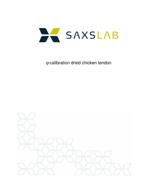

q-calibration dried chicken tendon